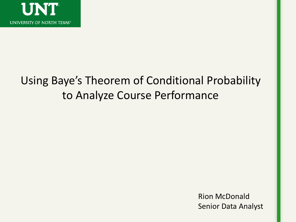

### Using Baye's Theorem of Conditional Probability to Analyze Course Performance

Rion McDonald Senior Data Analyst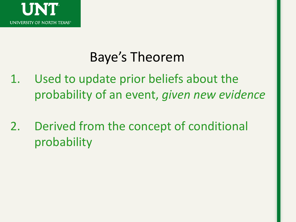

## Baye's Theorem

- 1. Used to update prior beliefs about the probability of an event, *given new evidence*
- 2. Derived from the concept of conditional probability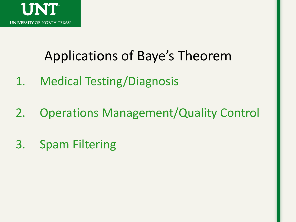

## Applications of Baye's Theorem

- 1. Medical Testing/Diagnosis
- 2. Operations Management/Quality Control
- 3. Spam Filtering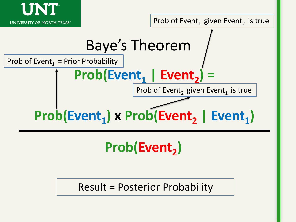



Result = Posterior Probability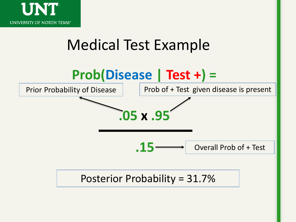

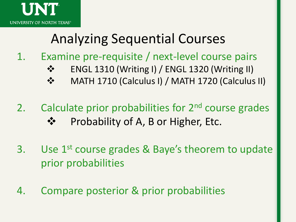

## Analyzing Sequential Courses

- 1. Examine pre-requisite / next-level course pairs
	- **❖** ENGL 1310 (Writing I) / ENGL 1320 (Writing II)
	- MATH 1710 (Calculus I) / MATH 1720 (Calculus II)
- 2. Calculate prior probabilities for 2<sup>nd</sup> course grades Probability of A, B or Higher, Etc.
- 3. Use 1<sup>st</sup> course grades & Baye's theorem to update prior probabilities
- 4. Compare posterior & prior probabilities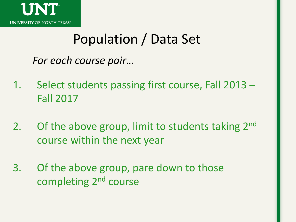

## Population / Data Set

*For each course pair…*

- 1. Select students passing first course, Fall 2013 Fall 2017
- 2. Of the above group, limit to students taking  $2^{nd}$ course within the next year
- 3. Of the above group, pare down to those completing 2nd course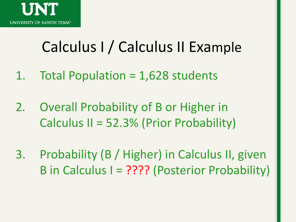

## Calculus I / Calculus II Example

- 1. Total Population = 1,628 students
- 2. Overall Probability of B or Higher in Calculus II = 52.3% (Prior Probability)
- 3. Probability (B / Higher) in Calculus II, given B in Calculus I = ???? (Posterior Probability)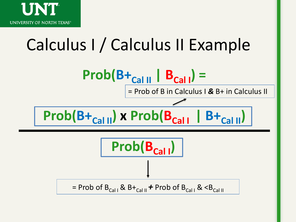

# Calculus I / Calculus II Example

**Prob(B<sub>Cal</sub><sub>I</sub>) Prob(B+Cal II) x Prob(BCal <sup>I</sup>| B+Cal II)** = Prob of B in Calculus I *&* B+ in Calculus II  $$  $=$  Prob of B<sub>Cal I</sub> & B+<sub>Cal II</sub>  $\neq$  Prob of B<sub>Cal I</sub> &  $\lt$ B<sub>Cal II</sub>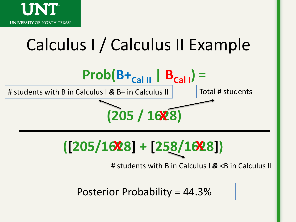

# Calculus I / Calculus II Example



Posterior Probability = 44.3%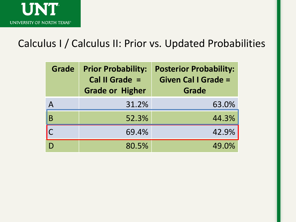

#### Calculus I / Calculus II: Prior vs. Updated Probabilities

| <b>Grade</b> | <b>Prior Probability:</b><br>Cal II Grade =<br><b>Grade or Higher</b> | <b>Posterior Probability:</b><br><b>Given Cal I Grade =</b><br>Grade |
|--------------|-----------------------------------------------------------------------|----------------------------------------------------------------------|
| Α            | 31.2%                                                                 | 63.0%                                                                |
| B            | 52.3%                                                                 | 44.3%                                                                |
|              | 69.4%                                                                 | 42.9%                                                                |
|              | 80.5%                                                                 | 49.0%                                                                |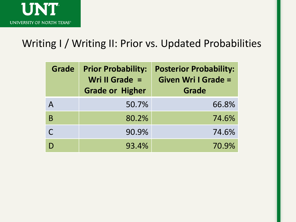

#### Writing I / Writing II: Prior vs. Updated Probabilities

| <b>Grade</b> | <b>Prior Probability:</b><br>Wri II Grade $=$<br><b>Grade or Higher</b> | <b>Posterior Probability:</b><br><b>Given Wri I Grade =</b><br>Grade |
|--------------|-------------------------------------------------------------------------|----------------------------------------------------------------------|
| Α            | 50.7%                                                                   | 66.8%                                                                |
| B            | 80.2%                                                                   | 74.6%                                                                |
|              | 90.9%                                                                   | 74.6%                                                                |
|              | 93.4%                                                                   | 70.9%                                                                |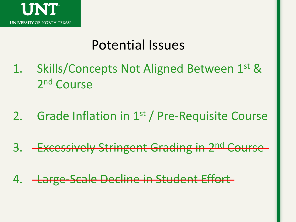

## Potential Issues

- 1. Skills/Concepts Not Aligned Between 1st & 2<sup>nd</sup> Course
- 2. Grade Inflation in 1<sup>st</sup> / Pre-Requisite Course
- 3. Excessively Stringent Grading in 2<sup>nd</sup> Course
- 4. Large-Scale Decline in Student Effort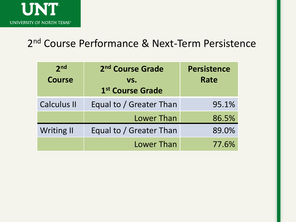

### 2<sup>nd</sup> Course Performance & Next-Term Persistence

| 2 <sub>nd</sub><br><b>Course</b> | 2 <sup>nd</sup> Course Grade<br>VS.<br>1st Course Grade | <b>Persistence</b><br><b>Rate</b> |
|----------------------------------|---------------------------------------------------------|-----------------------------------|
| <b>Calculus II</b>               | Equal to / Greater Than                                 | 95.1%                             |
|                                  | <b>Lower Than</b>                                       | 86.5%                             |
| <b>Writing II</b>                | Equal to / Greater Than                                 | 89.0%                             |
|                                  | <b>Lower Than</b>                                       | 77.6%                             |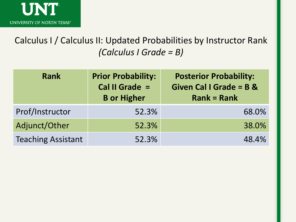

Calculus I / Calculus II: Updated Probabilities by Instructor Rank *(Calculus I Grade = B)*

| <b>Rank</b>               | <b>Prior Probability:</b><br>Cal II Grade =<br><b>B</b> or Higher | <b>Posterior Probability:</b><br><b>Given Cal I Grade = B &amp;</b><br>$Rank = Rank$ |
|---------------------------|-------------------------------------------------------------------|--------------------------------------------------------------------------------------|
| Prof/Instructor           | 52.3%                                                             | 68.0%                                                                                |
| Adjunct/Other             | 52.3%                                                             | 38.0%                                                                                |
| <b>Teaching Assistant</b> | 52.3%                                                             | 48.4%                                                                                |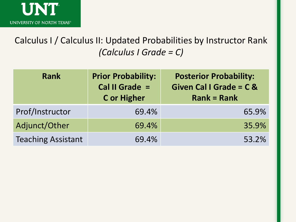

Calculus I / Calculus II: Updated Probabilities by Instructor Rank *(Calculus I Grade = C)*

| <b>Rank</b>               | <b>Prior Probability:</b><br>Cal II Grade =<br><b>C</b> or Higher | <b>Posterior Probability:</b><br>Given Cal I Grade = C &<br>$Rank = Rank$ |
|---------------------------|-------------------------------------------------------------------|---------------------------------------------------------------------------|
| Prof/Instructor           | 69.4%                                                             | 65.9%                                                                     |
| Adjunct/Other             | 69.4%                                                             | 35.9%                                                                     |
| <b>Teaching Assistant</b> | 69.4%                                                             | 53.2%                                                                     |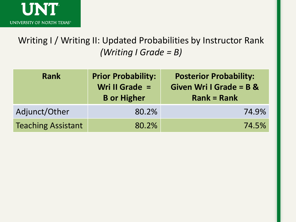

Writing I / Writing II: Updated Probabilities by Instructor Rank *(Writing I Grade = B)*

| Rank                      | <b>Prior Probability:</b><br>Wri II Grade =<br><b>B</b> or Higher | <b>Posterior Probability:</b><br><b>Given Wri I Grade = B &amp;</b><br>$Rank = Rank$ |
|---------------------------|-------------------------------------------------------------------|--------------------------------------------------------------------------------------|
| Adjunct/Other             | 80.2%                                                             | 74.9%                                                                                |
| <b>Teaching Assistant</b> | 80.2%                                                             | 74.5%                                                                                |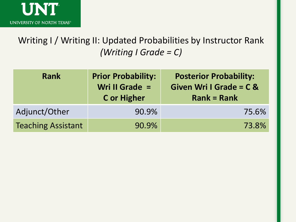

Writing I / Writing II: Updated Probabilities by Instructor Rank *(Writing I Grade = C)*

| <b>Rank</b>               | <b>Prior Probability:</b><br>Wri II Grade =<br><b>C</b> or Higher | <b>Posterior Probability:</b><br><b>Given Wri I Grade = C &amp;</b><br>$Rank = Rank$ |
|---------------------------|-------------------------------------------------------------------|--------------------------------------------------------------------------------------|
| Adjunct/Other             | 90.9%                                                             | 75.6%                                                                                |
| <b>Teaching Assistant</b> | 90.9%                                                             | 73.8%                                                                                |